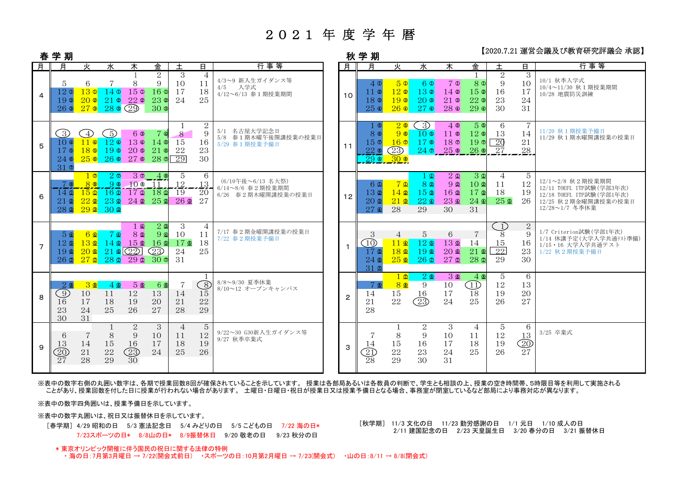## 2021 年 度 学 年 暦

### 【2020.7.21 運営会議及び教育研究評議会 承認】

| 春              | 学 期                                                            |                                                                   |                                                                           |                                                           |                                                                                          |                                      |                                  |                                                             |              | 秋 学 期                                                        |                                                          |                                                                                          | 【2020.1.21 建日ム敝久♡玖日別ノロロ 敝ム ホ応                                            |                                                                 |                                               |                                   |                                                                                                                     |  |
|----------------|----------------------------------------------------------------|-------------------------------------------------------------------|---------------------------------------------------------------------------|-----------------------------------------------------------|------------------------------------------------------------------------------------------|--------------------------------------|----------------------------------|-------------------------------------------------------------|--------------|--------------------------------------------------------------|----------------------------------------------------------|------------------------------------------------------------------------------------------|--------------------------------------------------------------------------|-----------------------------------------------------------------|-----------------------------------------------|-----------------------------------|---------------------------------------------------------------------------------------------------------------------|--|
| 月              | 月                                                              | 火                                                                 | 水                                                                         | $\overline{\ast}$                                         | 金                                                                                        | 土                                    | В.                               | 行事等                                                         | 月            | 月                                                            | 火                                                        | 水                                                                                        | 木                                                                        | 金                                                               | 土                                             | 日.                                | 行事等                                                                                                                 |  |
| $\overline{4}$ | 5<br>12 <sub>0</sub><br>19 <sup>°</sup><br>$26$ $\circ$        | 6<br>130<br>$20$ 2<br>$27$ 3                                      | 140<br>$21$ 2<br>$28$ 3 $(29)$                                            | 8<br>$15 \,\Omega$<br>$22$ 2                              | 2<br>9<br>16 <sup>o</sup><br>$23$ $\circ$<br>30 <sub>o</sub>                             | 3<br>10<br>17<br>24                  | $\overline{4}$<br>11<br>18<br>25 | 4/3~9 新入生ガイダンス等<br>4/5 入学式<br>4/12~6/13 春1期授業期間             | 10           | $4\,\Omega$<br>11Q<br>18 <sup>®</sup><br>250                 | 50<br>12 <sup>o</sup><br>19 <sup>o</sup><br>$26$ $\circ$ | 60<br>13 <sup>°</sup><br>$20$ ®<br>27 <sup>°</sup>                                       | $7$ $\Phi$<br>$14$ 2<br>$21$ ®<br>28 <sup><sup>®</sup></sup>             | 8 <sup>0</sup><br>15 <sup>°</sup><br>$22$ ®<br>$29$ $\circ$     | 2<br>9<br>16<br>23<br>30                      | 3<br>10<br>17<br>24<br>31         | 10/1 秋季入学式<br>10/4~11/30 秋1期授業期間<br>10/28 地震防災訓練                                                                    |  |
| 5              | ○<br>10 <sup>o</sup><br>17G<br>$24$ $\circ$<br>31 <sub>0</sub> | $\left(4\right)$<br>$11$ $\circ$<br>$18$ ©<br>250                 | 5)<br>120<br>$19$ ©<br>260                                                | 6 ®<br>$13$ $\circ$<br>20 <sub>0</sub><br>27 <sup>6</sup> | 7 Q<br>$14$ ©<br>$21$ $\circ$<br>28 <sub>0</sub>                                         | $\mathbf{8}$<br>15<br>22<br>29       | 2<br>9<br>16<br>23<br>30         | 5/1 名古屋大学記念日<br>5/8 春1期木曜午後開講授業の授業日<br>5/29 春1期授業予備日        | 11           | 1 O<br>80<br>15 <sub>o</sub><br>220<br><u>,290,</u>          | 20<br>90<br>$16$ $\Phi$<br>(23)<br>$\frac{300}{2}$       | $\left(\begin{smallmatrix} 3 \end{smallmatrix}\right)$<br>$10$ ©<br>170<br>$24$ $\sigma$ | 40<br>$11 \circ$<br>18 <sub>0</sub><br>$25$ $\circ$                      | 50<br>$12$ ®<br>190<br>26 <sup>®</sup>                          | 6<br>13<br>$\overline{20}$<br>-27             | 7<br>14<br>21<br>28               | 11/20 秋1期授業予備日<br>11/29 秋1期水曜開講授業の授業日                                                                               |  |
| 6              | 7 ®<br>$14\,\Omega$<br>$21$ $\Omega$<br>$28$ $\Omega$          | <u> 1 O</u><br>80<br>$15\Omega$<br>$22$ $\Omega$<br>$29$ $\Omega$ | 20<br>90<br>$16 \Omega$<br>23 <sub>2</sub><br>30 <sub>2</sub>             | 100<br>17D<br>$24$ $2$                                    | $30 - 49$<br>$-11$<br>$18$ $\Omega$<br>$25$ $\circ$                                      | -5<br>12<br>19<br>$26$ $\Omega$      | 6<br>13<br>20<br>27              | (6/10午後~6/13 名大祭)<br>6/14~8/6 春2期授業期間<br>6/26 春2期木曜開講授業の授業日 | 12           | 6 <sub>0</sub><br>13 <sub>2</sub><br>$20$ ®<br>$27$ $\Omega$ | 7 <sub>0</sub><br>$14$ $\Omega$<br>$21$ $\Omega$<br>28   | 1 Q<br>8 <sub>2</sub><br>15 <sub>2</sub><br>$22 \Omega$<br>29                            | $2 \Omega$<br>9 <sub>2</sub><br>16 <sup>2</sup><br>23 <sub>2</sub><br>30 | 3 <sup>0</sup><br>10Q<br>17 <sub>2</sub><br>$24$ $\Omega$<br>31 | $\overline{4}$<br>11<br>18<br>25 <sub>0</sub> | 5<br>12<br>19<br>26               | 12/1~2/8 秋2期授業期間<br>12/11 TOEFL ITP試験 (学部3年次)<br>12/18 TOEFL ITP試験 (学部1年次)<br>12/25 秋2期金曜開講授業の授業日<br>12/28~1/7 冬季休業 |  |
| $\overline{7}$ | 5 <sup>0</sup><br>$12$ ඔ<br>19 <sub>0</sub><br>$26$ $\Omega$   | 6 Q<br>13 <sub>0</sub><br>20 <sub>0</sub><br>27 <sub>2</sub>      | 7 <b>4</b><br>$14$ $\Omega$<br>$21$ $\textcircled{22}$<br>28 <sub>2</sub> | $1 \Omega$<br>80<br>15 <sub>0</sub><br>$29$ $\Omega$      | $2$ $\Omega$<br>$9$ $\circledcirc$<br>$16$ $\Omega$<br>$\widehat{23}$<br>30 <sub>o</sub> | 3<br>10<br>$17$ $\Omega$<br>24<br>31 | $\overline{4}$<br>11<br>18<br>25 | 7/17 春2期金曜開講授業の授業日<br>7/22 春2期授業予備日                         | $\mathbf{1}$ | 3<br>(10)<br>$17$ ®<br>$24$ $\Omega$<br>31 <sub>0</sub>      | 4<br>$11 \Omega$<br>18 <sub>®</sub><br>250               | 5<br>$12$ $\Omega$<br>19 <sup>°</sup><br>26 <sub>2</sub>                                 | 6<br>13 <sub>0</sub><br>20 <sub>0</sub><br>27 <sub>2</sub>               | $\overline{7}$<br>14<br>$21$ $\Omega$<br>28 <sub>2</sub>        | 1)<br>8<br>15<br>22<br>29                     | $\sqrt{2}$<br>9<br>16<br>23<br>30 | 1/7 Criterion試験(学部1年次)<br>1/14 休講予定(大学入学共通テスト準備)<br>1/15·16 大学入学共通テスト<br>1/22 秋2期授業予備日                              |  |
| 8              | 20<br>$\odot$<br>16<br>23<br>30                                | 30<br>10<br>17<br>24<br>31                                        | 40<br>11<br>18<br>25                                                      | 5 ®<br>12<br>19<br>26                                     | 6 <sup><sup>®</sup></sup><br>13<br>20<br>27                                              | $\overline{7}$<br>14<br>21<br>28     | 8<br>15<br>22<br>29              | 8/8~9/30 夏季休業<br>8/10~12 オープンキャンパス                          | $\mathbf{2}$ | 7 ®<br>14<br>21<br>28                                        | 1 2<br>8 ®<br>15<br>22                                   | 20<br>9<br>16<br>$\circled{23}$                                                          | 30<br>10<br>17<br>24                                                     | 40<br>$\textcircled{\scriptsize{1}}$<br>18<br>25                | 5<br>12<br>19<br>26                           | 6<br>13<br>20<br>27               |                                                                                                                     |  |
| 9              | 6<br>13<br>$\widehat{20}$<br>27                                | 14<br>21<br>28                                                    | $\mathbf{1}$<br>8<br>15<br>22<br>29                                       | $\overline{2}$<br>9<br>16<br>23)<br>30                    | 3<br>10<br>17<br>24                                                                      | $\overline{4}$<br>11<br>18<br>25     | 5<br>12<br>19<br>26              | 9/22~30 G30新入生ガイダンス等<br>9/27 秋季卒業式                          | 3            | 14<br>$\mathfrak{V}% _{A}$<br>28                             | 8<br>15<br>22<br>29                                      | $\overline{2}$<br>9<br>16<br>23<br>30                                                    | 3<br>10<br>17<br>24<br>31                                                | $\overline{4}$<br>11<br>18<br>25                                | 5<br>12<br>19<br>26                           | 6<br>13<br>$^{\circledR}$<br>27   | 3/25 卒業式                                                                                                            |  |

 ※表中の数字右側の丸囲い数字は、各期で授業回数8回が確保されていることを示しています。 授業は各部局あるいは各教員の判断で、学生とも相談の上、授業の空き時間帯、5時限目等を利用して実施される ことがあり、授業回数を付した日に授業が行われない場合があります。 土曜日・日曜日・祝日が授業日又は授業予備日となる場合、事務室が閉室しているなど部局により事務対応が異なります。

※表中の数字四角囲いは、授業予備日を示しています。

※表中の数字丸囲いは、祝日又は振替休日を示しています。

 [春学期] 4/29 昭和の日 5/3 憲法記念日 5/4 みどりの日 5/5 こどもの日 7/22 海の日\* 7/23スポーツの日\* 8/8山の日\* 8/9振替休日 9/20 敬老の日 9/23 秋分の日

 [秋学期] 11/3 文化の日 11/23 勤労感謝の日 1/1 元日 1/10 成人の日2/11 建国記念の日 2/23 天皇誕生日 3/20 春分の日 3/21 振替休日

#### \* 東京オリンピック開催に伴う国民の祝日に関する法律の特例

・ 海の日:7月第3月曜日 → 7/22(開会式前日) ・スポーツの日:10月第2月曜日 → 7/23(開会式) ・山の日:8/11 → 8/8(閉会式)